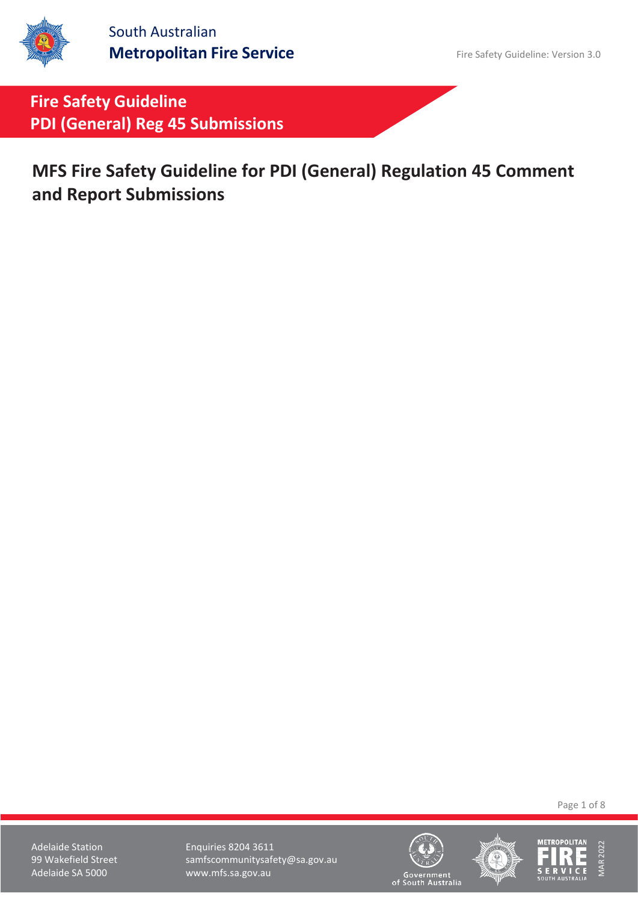South Australian **Metropolitan Fire Service** Fire Safety Guideline: Version 3.0

**Fire Safety Guideline PDI (General) Reg 45 Submissions**

**MFS Fire Safety Guideline for PDI (General) Regulation 45 Comment and Report Submissions**

Page 1 of 8

Adelaide Station **Enquiries 8204 3611** 99 Wakefield Street samfscommunitysafety@sa.gov.au<br>Adelaide SA 5000 www.mfs.sa.gov.au www.mfs.sa.gov.au





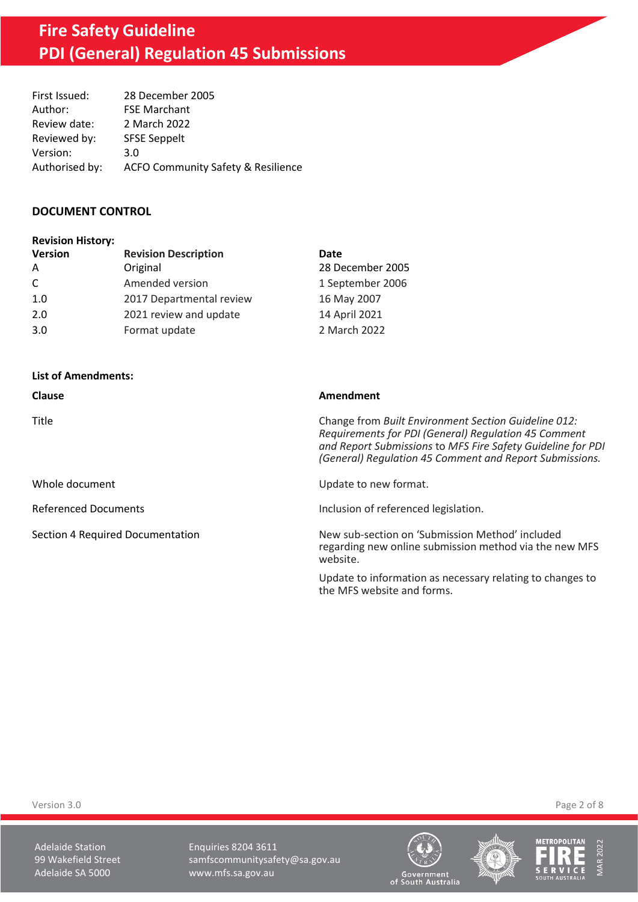# **Fire Safety Guideline PDI (General) Regulation 45 Submissions**

| First Issued:  | 28 December 2005                              |
|----------------|-----------------------------------------------|
| Author:        | <b>FSE Marchant</b>                           |
| Review date:   | 2 March 2022                                  |
| Reviewed by:   | <b>SFSE Seppelt</b>                           |
| Version:       | 3.0                                           |
| Authorised by: | <b>ACFO Community Safety &amp; Resilience</b> |

#### **DOCUMENT CONTROL**

| <b>Revision History:</b> |                             |                  |
|--------------------------|-----------------------------|------------------|
| <b>Version</b>           | <b>Revision Description</b> | Date             |
| A                        | Original                    | 28 December 2005 |
| C                        | Amended version             | 1 September 2006 |
| 1.0                      | 2017 Departmental review    | 16 May 2007      |
| 2.0                      | 2021 review and update      | 14 April 2021    |
| 3.0                      | Format update               | 2 March 2022     |

#### **List of Amendments:**

| <b>Clause</b>                    | Amendment                                                                                                                                                                                                                              |
|----------------------------------|----------------------------------------------------------------------------------------------------------------------------------------------------------------------------------------------------------------------------------------|
| Title                            | Change from Built Environment Section Guideline 012:<br>Requirements for PDI (General) Requlation 45 Comment<br>and Report Submissions to MFS Fire Safety Guideline for PDI<br>(General) Regulation 45 Comment and Report Submissions. |
| Whole document                   | Update to new format.                                                                                                                                                                                                                  |
| <b>Referenced Documents</b>      | Inclusion of referenced legislation.                                                                                                                                                                                                   |
| Section 4 Required Documentation | New sub-section on 'Submission Method' included<br>regarding new online submission method via the new MFS<br>website.                                                                                                                  |
|                                  | Update to information as necessary relating to changes to<br>the MFS website and forms.                                                                                                                                                |

Version 3.0 Page 2 of 8

Adelaide Station **Enquiries 8204 3611** 99 Wakefield Street samfscommunitysafety@sa.gov.au<br>Adelaide SA 5000 www.mfs.sa.gov.au www.mfs.sa.gov.au







MAR 2022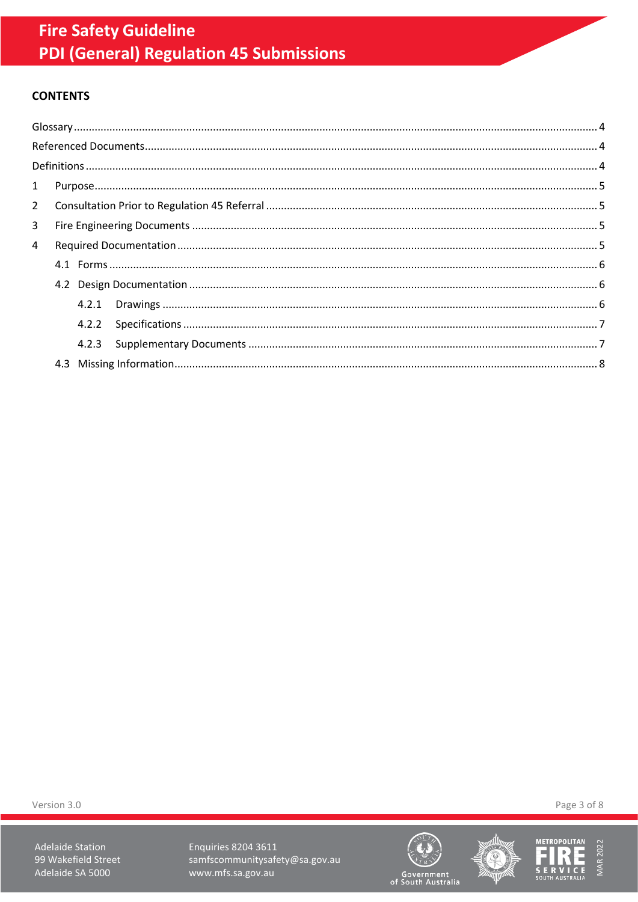## **CONTENTS**

| 3 |  |  |  |  |
|---|--|--|--|--|
| 4 |  |  |  |  |
|   |  |  |  |  |
|   |  |  |  |  |
|   |  |  |  |  |
|   |  |  |  |  |
|   |  |  |  |  |
|   |  |  |  |  |
|   |  |  |  |  |

Version 3.0

**Adelaide Station** 99 Wakefield Street Adelaide SA 5000

**Enquiries 8204 3611** samfscommunitysafety@sa.gov.au www.mfs.sa.gov.au







Page 3 of 8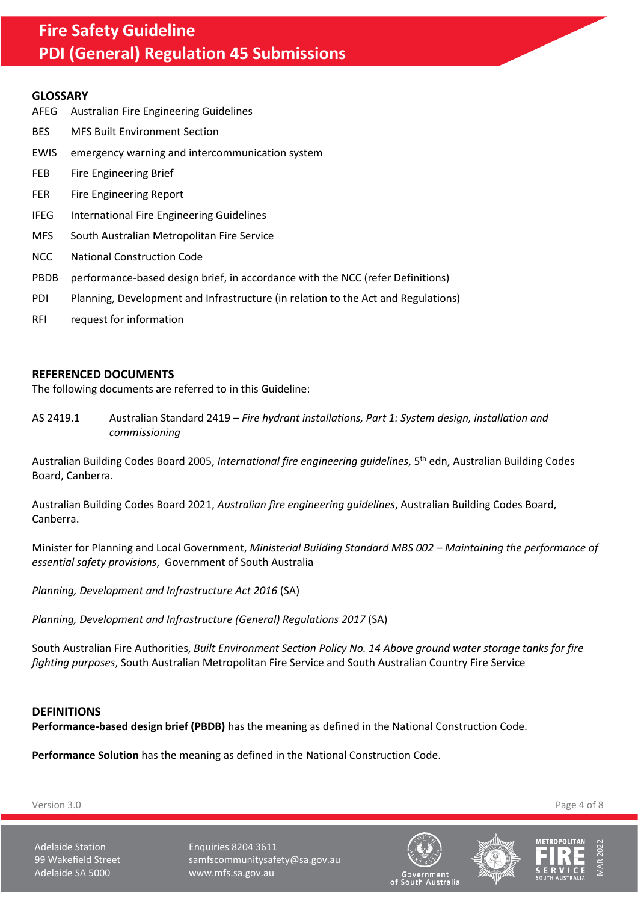## **Fire Safety Guideline PDI (General) Regulation 45 Submissions**

#### <span id="page-3-0"></span>**GLOSSARY**

AFEG Australian Fire Engineering Guidelines BES MFS Built Environment Section EWIS emergency warning and intercommunication system FEB Fire Engineering Brief FER Fire Engineering Report IFEG International Fire Engineering Guidelines MFS South Australian Metropolitan Fire Service NCC National Construction Code PBDB performance-based design brief, in accordance with the NCC (refer Definitions) PDI Planning, Development and Infrastructure (in relation to the Act and Regulations) RFI request for information

#### <span id="page-3-1"></span>**REFERENCED DOCUMENTS**

The following documents are referred to in this Guideline:

AS 2419.1 Australian Standard 2419 – *Fire hydrant installations, Part 1: System design, installation and commissioning*

Australian Building Codes Board 2005, *International fire engineering guidelines*, 5th edn, Australian Building Codes Board, Canberra.

Australian Building Codes Board 2021, *Australian fire engineering guidelines*, Australian Building Codes Board, Canberra.

Minister for Planning and Local Government, *Ministerial Building Standard MBS 002 – Maintaining the performance of essential safety provisions*, Government of South Australia

*Planning, Development and Infrastructure Act 2016* (SA)

*Planning, Development and Infrastructure (General) Regulations 2017* (SA)

South Australian Fire Authorities, *Built Environment Section Policy No. 14 Above ground water storage tanks for fire fighting purposes*, South Australian Metropolitan Fire Service and South Australian Country Fire Service

#### <span id="page-3-2"></span>**DEFINITIONS**

**Performance-based design brief (PBDB)** has the meaning as defined in the National Construction Code.

**Performance Solution** has the meaning as defined in the National Construction Code.

Version 3.0 Page 4 of 8

Adelaide Station **Enquiries 8204 3611** 99 Wakefield Street samfscommunitysafety@sa.gov.au Adelaide SA 5000 www.mfs.sa.gov.au





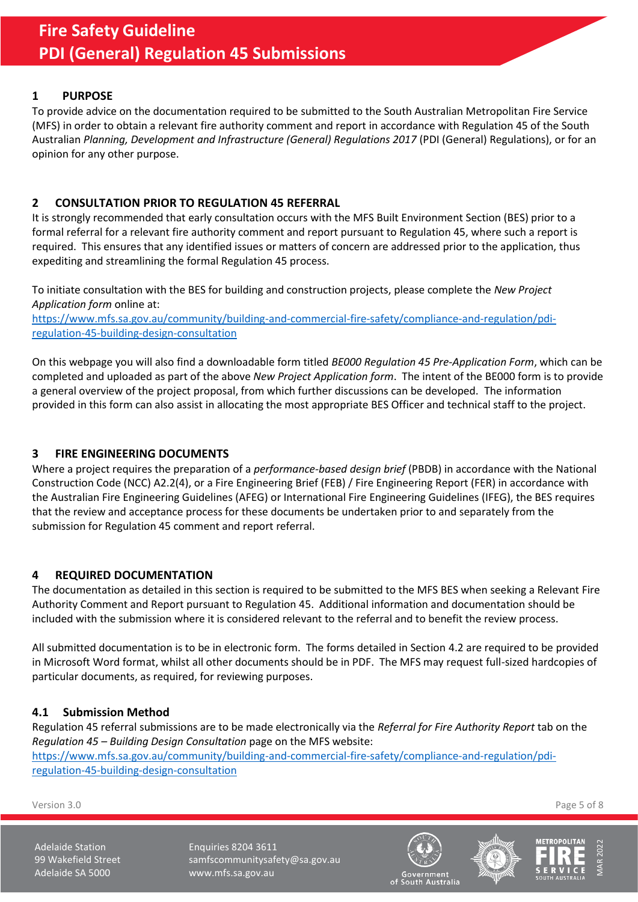## <span id="page-4-0"></span>**1 PURPOSE**

To provide advice on the documentation required to be submitted to the South Australian Metropolitan Fire Service (MFS) in order to obtain a relevant fire authority comment and report in accordance with Regulation 45 of the South Australian *Planning, Development and Infrastructure (General) Regulations 2017* (PDI (General) Regulations), or for an opinion for any other purpose.

## <span id="page-4-1"></span>**2 CONSULTATION PRIOR TO REGULATION 45 REFERRAL**

It is strongly recommended that early consultation occurs with the MFS Built Environment Section (BES) prior to a formal referral for a relevant fire authority comment and report pursuant to Regulation 45, where such a report is required. This ensures that any identified issues or matters of concern are addressed prior to the application, thus expediting and streamlining the formal Regulation 45 process.

To initiate consultation with the BES for building and construction projects, please complete the *New Project Application form* online at:

[https://www.mfs.sa.gov.au/community/building-and-commercial-fire-safety/compliance-and-regulation/pdi](https://www.mfs.sa.gov.au/community/building-and-commercial-fire-safety/compliance-and-regulation/pdi-regulation-45-building-design-consultation)[regulation-45-building-design-consultation](https://www.mfs.sa.gov.au/community/building-and-commercial-fire-safety/compliance-and-regulation/pdi-regulation-45-building-design-consultation)

On this webpage you will also find a downloadable form titled *BE000 Regulation 45 Pre-Application Form*, which can be completed and uploaded as part of the above *New Project Application form*. The intent of the BE000 form is to provide a general overview of the project proposal, from which further discussions can be developed. The information provided in this form can also assist in allocating the most appropriate BES Officer and technical staff to the project.

## <span id="page-4-2"></span>**3 FIRE ENGINEERING DOCUMENTS**

Where a project requires the preparation of a *performance-based design brief* (PBDB) in accordance with the National Construction Code (NCC) A2.2(4), or a Fire Engineering Brief (FEB) / Fire Engineering Report (FER) in accordance with the Australian Fire Engineering Guidelines (AFEG) or International Fire Engineering Guidelines (IFEG), the BES requires that the review and acceptance process for these documents be undertaken prior to and separately from the submission for Regulation 45 comment and report referral.

## <span id="page-4-3"></span>**4 REQUIRED DOCUMENTATION**

The documentation as detailed in this section is required to be submitted to the MFS BES when seeking a Relevant Fire Authority Comment and Report pursuant to Regulation 45. Additional information and documentation should be included with the submission where it is considered relevant to the referral and to benefit the review process.

All submitted documentation is to be in electronic form. The forms detailed in Sectio[n 4.2](#page-5-0) are required to be provided in Microsoft Word format, whilst all other documents should be in PDF. The MFS may request full-sized hardcopies of particular documents, as required, for reviewing purposes.

## **4.1 Submission Method**

Regulation 45 referral submissions are to be made electronically via the *Referral for Fire Authority Report* tab on the *Regulation 45 – Building Design Consultation* page on the MFS website: [https://www.mfs.sa.gov.au/community/building-and-commercial-fire-safety/compliance-and-regulation/pdi](https://www.mfs.sa.gov.au/community/building-and-commercial-fire-safety/compliance-and-regulation/pdi-regulation-45-building-design-consultation)[regulation-45-building-design-consultation](https://www.mfs.sa.gov.au/community/building-and-commercial-fire-safety/compliance-and-regulation/pdi-regulation-45-building-design-consultation)

Version 3.0 Page 5 of 8

Adelaide Station **Enquiries 8204 3611** 99 Wakefield Street samfscommunitysafety@sa.gov.au Adelaide SA 5000 www.mfs.sa.gov.au





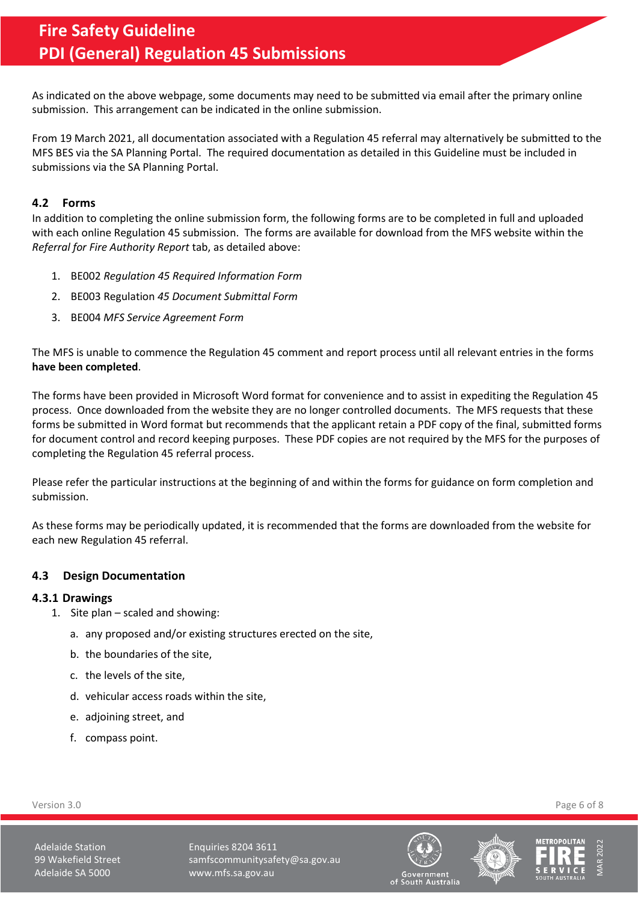As indicated on the above webpage, some documents may need to be submitted via email after the primary online submission. This arrangement can be indicated in the online submission.

From 19 March 2021, all documentation associated with a Regulation 45 referral may alternatively be submitted to the MFS BES via the SA Planning Portal. The required documentation as detailed in this Guideline must be included in submissions via the SA Planning Portal.

#### <span id="page-5-0"></span>**4.2 Forms**

In addition to completing the online submission form, the following forms are to be completed in full and uploaded with each online Regulation 45 submission. The forms are available for download from the MFS website within the *Referral for Fire Authority Report* tab, as detailed above:

- 1. BE002 *Regulation 45 Required Information Form*
- 2. BE003 Regulation *45 Document Submittal Form*
- 3. BE004 *MFS Service Agreement Form*

The MFS is unable to commence the Regulation 45 comment and report process until all relevant entries in the forms **have been completed**.

The forms have been provided in Microsoft Word format for convenience and to assist in expediting the Regulation 45 process. Once downloaded from the website they are no longer controlled documents. The MFS requests that these forms be submitted in Word format but recommends that the applicant retain a PDF copy of the final, submitted forms for document control and record keeping purposes. These PDF copies are not required by the MFS for the purposes of completing the Regulation 45 referral process.

Please refer the particular instructions at the beginning of and within the forms for guidance on form completion and submission.

As these forms may be periodically updated, it is recommended that the forms are downloaded from the website for each new Regulation 45 referral.

#### <span id="page-5-1"></span>**4.3 Design Documentation**

#### <span id="page-5-2"></span>**4.3.1 Drawings**

- 1. Site plan scaled and showing:
	- a. any proposed and/or existing structures erected on the site,
	- b. the boundaries of the site,
	- c. the levels of the site,
	- d. vehicular access roads within the site,
	- e. adjoining street, and
	- f. compass point.

Version 3.0 Page 6 of 8

Adelaide Station **Enquiries 8204 3611** 99 Wakefield Street samfscommunitysafety@sa.gov.au Adelaide SA 5000 www.mfs.sa.gov.au





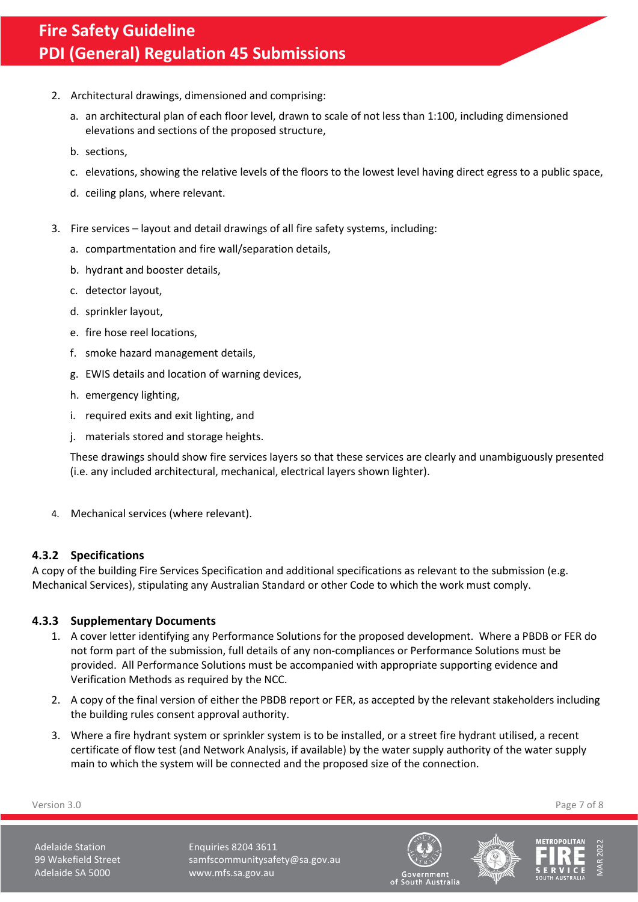- 2. Architectural drawings, dimensioned and comprising:
	- a. an architectural plan of each floor level, drawn to scale of not less than 1:100, including dimensioned elevations and sections of the proposed structure,
	- b. sections,
	- c. elevations, showing the relative levels of the floors to the lowest level having direct egress to a public space,
	- d. ceiling plans, where relevant.
- 3. Fire services layout and detail drawings of all fire safety systems, including:
	- a. compartmentation and fire wall/separation details,
	- b. hydrant and booster details,
	- c. detector layout,
	- d. sprinkler layout,
	- e. fire hose reel locations,
	- f. smoke hazard management details,
	- g. EWIS details and location of warning devices,
	- h. emergency lighting,
	- i. required exits and exit lighting, and
	- j. materials stored and storage heights.

These drawings should show fire services layers so that these services are clearly and unambiguously presented (i.e. any included architectural, mechanical, electrical layers shown lighter).

4. Mechanical services (where relevant).

## <span id="page-6-0"></span>**4.3.2 Specifications**

A copy of the building Fire Services Specification and additional specifications as relevant to the submission (e.g. Mechanical Services), stipulating any Australian Standard or other Code to which the work must comply.

## <span id="page-6-1"></span>**4.3.3 Supplementary Documents**

- 1. A cover letter identifying any Performance Solutions for the proposed development. Where a PBDB or FER do not form part of the submission, full details of any non-compliances or Performance Solutions must be provided. All Performance Solutions must be accompanied with appropriate supporting evidence and Verification Methods as required by the NCC.
- 2. A copy of the final version of either the PBDB report or FER, as accepted by the relevant stakeholders including the building rules consent approval authority.
- 3. Where a fire hydrant system or sprinkler system is to be installed, or a street fire hydrant utilised, a recent certificate of flow test (and Network Analysis, if available) by the water supply authority of the water supply main to which the system will be connected and the proposed size of the connection.

Version 3.0 Page 7 of 8

Adelaide Station **Enquiries 8204 3611** 99 Wakefield Street samfscommunitysafety@sa.gov.au Adelaide SA 5000 www.mfs.sa.gov.au